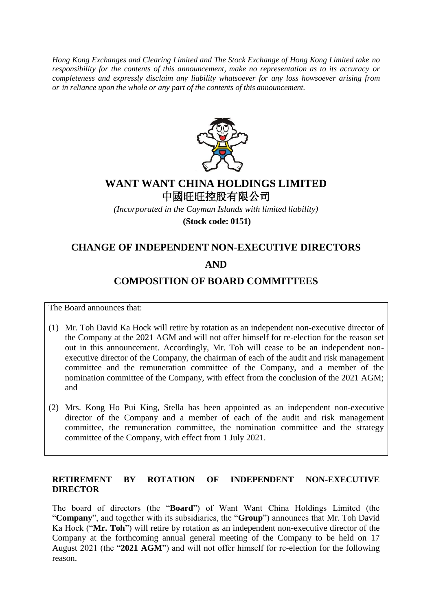*Hong Kong Exchanges and Clearing Limited and The Stock Exchange of Hong Kong Limited take no responsibility for the contents of this announcement, make no representation as to its accuracy or completeness and expressly disclaim any liability whatsoever for any loss howsoever arising from or in reliance upon the whole or any part of the contents of this announcement.*



## **WANT WANT CHINA HOLDINGS LIMITED** 中國旺旺控股有限公司

*(Incorporated in the Cayman Islands with limited liability)*

**(Stock code: 0151)**

# **CHANGE OF INDEPENDENT NON-EXECUTIVE DIRECTORS AND**

## **COMPOSITION OF BOARD COMMITTEES**

The Board announces that:

- (1) Mr. Toh David Ka Hock will retire by rotation as an independent non-executive director of the Company at the 2021 AGM and will not offer himself for re-election for the reason set out in this announcement. Accordingly, Mr. Toh will cease to be an independent nonexecutive director of the Company, the chairman of each of the audit and risk management committee and the remuneration committee of the Company, and a member of the nomination committee of the Company, with effect from the conclusion of the 2021 AGM; and
- (2) Mrs. Kong Ho Pui King, Stella has been appointed as an independent non-executive director of the Company and a member of each of the audit and risk management committee, the remuneration committee, the nomination committee and the strategy committee of the Company, with effect from 1 July 2021.

### **RETIREMENT BY ROTATION OF INDEPENDENT NON-EXECUTIVE DIRECTOR**

The board of directors (the "**Board**") of Want Want China Holdings Limited (the "**Company**", and together with its subsidiaries, the "**Group**") announces that Mr. Toh David Ka Hock ("**Mr. Toh**") will retire by rotation as an independent non-executive director of the Company at the forthcoming annual general meeting of the Company to be held on 17 August 2021 (the "**2021 AGM**") and will not offer himself for re-election for the following reason.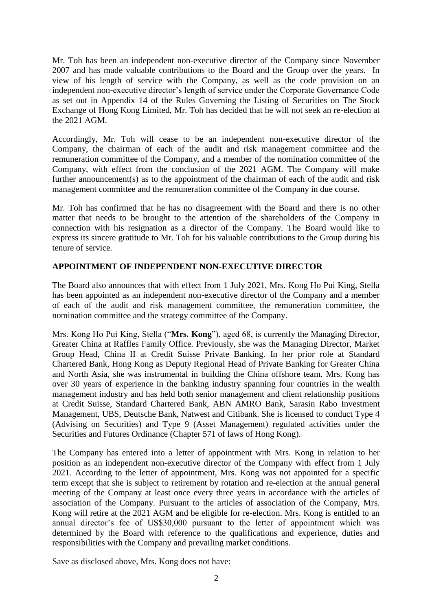Mr. Toh has been an independent non-executive director of the Company since November 2007 and has made valuable contributions to the Board and the Group over the years. In view of his length of service with the Company, as well as the code provision on an independent non-executive director's length of service under the Corporate Governance Code as set out in Appendix 14 of the Rules Governing the Listing of Securities on The Stock Exchange of Hong Kong Limited, Mr. Toh has decided that he will not seek an re-election at the 2021 AGM.

Accordingly, Mr. Toh will cease to be an independent non-executive director of the Company, the chairman of each of the audit and risk management committee and the remuneration committee of the Company, and a member of the nomination committee of the Company, with effect from the conclusion of the 2021 AGM. The Company will make further announcement(s) as to the appointment of the chairman of each of the audit and risk management committee and the remuneration committee of the Company in due course.

Mr. Toh has confirmed that he has no disagreement with the Board and there is no other matter that needs to be brought to the attention of the shareholders of the Company in connection with his resignation as a director of the Company. The Board would like to express its sincere gratitude to Mr. Toh for his valuable contributions to the Group during his tenure of service.

#### **APPOINTMENT OF INDEPENDENT NON-EXECUTIVE DIRECTOR**

The Board also announces that with effect from 1 July 2021, Mrs. Kong Ho Pui King, Stella has been appointed as an independent non-executive director of the Company and a member of each of the audit and risk management committee, the remuneration committee, the nomination committee and the strategy committee of the Company.

Mrs. Kong Ho Pui King, Stella ("**Mrs. Kong**"), aged 68, is currently the Managing Director, Greater China at Raffles Family Office. Previously, she was the Managing Director, Market Group Head, China II at Credit Suisse Private Banking. In her prior role at Standard Chartered Bank, Hong Kong as Deputy Regional Head of Private Banking for Greater China and North Asia, she was instrumental in building the China offshore team. Mrs. Kong has over 30 years of experience in the banking industry spanning four countries in the wealth management industry and has held both senior management and client relationship positions at Credit Suisse, Standard Chartered Bank, ABN AMRO Bank, Sarasin Rabo Investment Management, UBS, Deutsche Bank, Natwest and Citibank. She is licensed to conduct Type 4 (Advising on Securities) and Type 9 (Asset Management) regulated activities under the Securities and Futures Ordinance (Chapter 571 of laws of Hong Kong).

The Company has entered into a letter of appointment with Mrs. Kong in relation to her position as an independent non-executive director of the Company with effect from 1 July 2021. According to the letter of appointment, Mrs. Kong was not appointed for a specific term except that she is subject to retirement by rotation and re-election at the annual general meeting of the Company at least once every three years in accordance with the articles of association of the Company. Pursuant to the articles of association of the Company, Mrs. Kong will retire at the 2021 AGM and be eligible for re-election. Mrs. Kong is entitled to an annual director's fee of US\$30,000 pursuant to the letter of appointment which was determined by the Board with reference to the qualifications and experience, duties and responsibilities with the Company and prevailing market conditions.

Save as disclosed above, Mrs. Kong does not have: